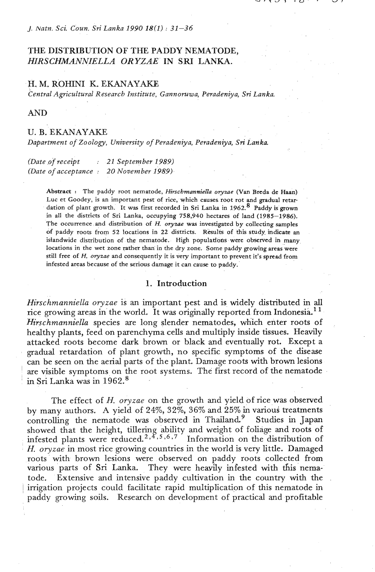#### **J.** *Natn. Sci. Coun, Sri Lanka 1990 18(1)* : *31-36*

# THE DISTRIBUTION OF THE PADDY NEMATODE, HIRSCHMANNIELLA ORYZAE' IN SRI LANKA.

# H. M. ROHINI K. EKANAYAKE

*Central Agricultural Research Institute, Gannoruwa, Peradeniya,* **Sri** *Lanka.* 

# **AND**

## U. B. EKANAYAKE

*Dapartment of Zoology, University* **of** *Peradeniya, Peradeniya, Sri Lanka* 

*(Date* **.of** *receipt* : *21 September 1989) (Date* **of** *acceptance* : **20** *November 1989).* 

> Abstract : The paddy root nematode, *Hirschmanniella* oryzae (Van Brcda de Haan) Luc et Goodey, is an important pest of rice, which causes root rot and gradual retar dation of plant growth. It was first recorded in Sri Lanka in 1962.<sup>8</sup> Paddy is grown in all the districts of Sri Lanka, occupying 758,940 hectares of land (1985-1986). The occurrence and distribution of *H*, *oryzae* was investigated by collecting samples of paddy roots from 52 locations in 22 districts. Results of this study. indicate an islandwide distribution of the nematode. High populations were observed in many locations in the wet zone rather than in the dry zone. Some paddy growing areas were still free of *H.* oryzae and consequently it is very important to prevent it's spread from infested areas because of the serious damage it can cause to paddy.

### **1.** Introduction

*Hirschmanniella oryzae* is an important pest and is widely distributed in all rice growing areas in the world. It was originally reported from Indonesia.<sup>11</sup> *Hirschmanniella* species are long slender nematodes, which enter roots of healthy plants, feed on parenchyma cells and multiply inside tissues. Heavily attacked roots become dark brown or black and eventually rot. Except a gradual retardation of plant growth, no specific symptoms of the disease can be seen on the aerial parts of the plant. Damage roots with brown lesions are visible symptoms on the root systems. The first record of the nematode in Sri Lanka was in 1962.<sup>8</sup>

The effect of *H. oryzae* on the growth and yield of rice was observed by many authors. A yield of 24%, 32%, 36% and 25% in various treatments controlling the nematode was observed in Thailand.<sup>9</sup> Studies in Japan showed that the height, tillering ability and weight of foliage and roots of infested plants were reduced.<sup>2,4,5,6,7</sup> Information on the distribution of H. oryzae in most rice growing countries in the world is very little. Damaged roots with brown lesions were observed on paddy roots collected from various parts of Sri Lanka. They were heavily infested with this nematode. Extensive and intensive paddy cultivation in the country with the irrigation projects could facilitate rapid multiplication of this nematode in paddy growing soils. Research on development of practical and profitable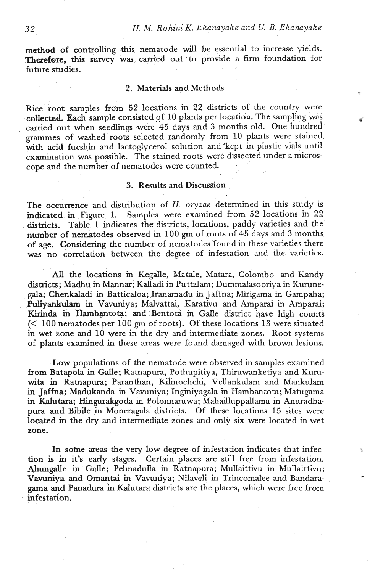method of controlling this nematode will be essential to increase yields. Therefore, this survey was carried out to provide a firm foundation for future studies.

### 2. Materials and Methods

Rice root samples from 52 locations in 22 districts of the country wefe collected. Each sample consisted of 10 plants per location. The sampling was carried out when seedlings were 45 days and 3 months old. One hundred grammes of washed roots selected randomly from 10 plants were stained with acid fucshin and lactoglycerol solution and kept in plastic vials until examination was possible. The stained roots were dissected under a microscope and the number of nematodes were counted.

# 3. Results and Discussion

The occurrence and distribution of *H. oryzae* determined in this study is indicated in Figure 1. Samples were examined from 52 locations in 22 districts. Table 1 indicates the districts, locations, paddy varieties and the number of nematodes observed in 100 **grn** of roots of 45 days and 3 months of age. Considering the number of nematodes 'found in these varieties there was no correlation between the degree of infestation and the varieties.

All the locations in Kegalle, Matale, Matara, Colombo and Kandy districts; Madhu in Mannar; Kalladi in Puttalam; Dummalasooriya in Kurunegala; Chenkaladi in Batticaloa; Iranamadu in Jaffna; Mirigama in Gampaha; Puliyankulam in Vavuniya; Malvattai, Karativu and Amparai in Amparai; Kirinda in Hambantota; and Bentota in Galle district have high counts (< 100 nematodes per 100 gm of roots). Of these locations 13 were situated in wet zone and 10 were in the dry and intermediate zones. Root systems of plants examined in these areas were found damaged with brown lesions.

Low populations of the nematode were observed in samples examined from Batapola in Galle; Ratnapura, Pothupitiya, Thiruwanketiya and Kuruwita in Ratnapura; Paranthan, Kilinochchi, Vellankulam and Mankulam in Jaffna; Madukanda in Vavuniya; Inginiyagala in Hambantota; Matugama in Kalutara; Hingurakgoda in Polonnaruwa; Mahailluppallama in Anuradhapura and Bibile in Moneragala districts. Of these locations 15 sites were located **in** the dry and intermediate zones and only six were located in wet zone.

In some areas the very low degree of infestation indicates that infection is in it's early stages. Certain places are still free from infestation. Ahungalle in Galle; Pelrnadulla in Ratnapura; Mullaittivu in Mullaittivu; Vavuniya and Omantai in Vavuniya; Nilaveli in Trincomalee and Bandaragama and Panadura in Kalutara districts are the places, which were free from infestation.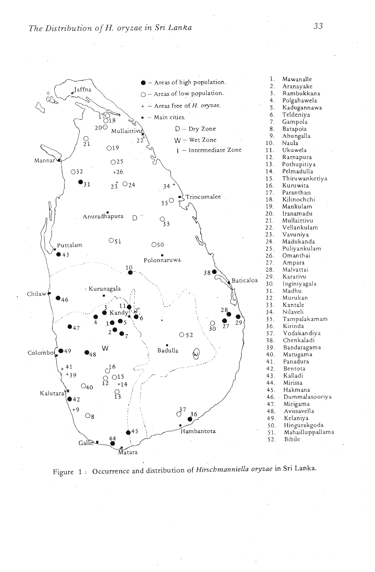

Figure 1 : Occurrence and distribution of *Hirschmanniella oryzae* in Sri Lanka.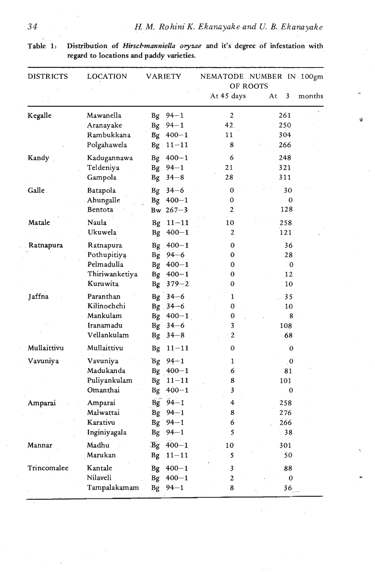| Table 1: | Distril   |
|----------|-----------|
|          | المسمسمية |

bution of *Hirschmanniella oryzae* and it's degree of infestation with regard to locations and paddy varieties.

| <b>DISTRICTS</b> | LOCATION                                                             | <b>VARIETY</b>                                                                                             | NEMATODE NUMBER IN 100gm<br>OF ROOTS |                                           |  |
|------------------|----------------------------------------------------------------------|------------------------------------------------------------------------------------------------------------|--------------------------------------|-------------------------------------------|--|
|                  |                                                                      |                                                                                                            | At 45 days                           | At<br>3<br>months                         |  |
| Kegalle          | Mawanella<br>Aranayake<br>Rambukkana<br>Polgahawela                  | $94 - 1$<br>Bg<br>$94 - 1$<br><b>Bg</b><br>Bg 400-1<br>$11 - 11$<br>Bg                                     | $\mathbf{2}$<br>42.<br>11<br>8       | 261<br>250<br>304<br>266                  |  |
| Kandy            | Kadugannawa<br>Teldeniya<br>Gampola                                  | $400 - 1$<br>Bg<br>$94 - 1$<br><b>Bg</b><br>$34 - 8$<br><b>Bg</b>                                          | 6<br>21<br>28                        | 248<br>321<br>311                         |  |
| Galle.           | Batapola<br>Ahungalle<br>Bentota                                     | $34 - 6$<br><b>Bg</b><br>Bg 400-1<br>$Bw_{.}267 - 3$                                                       | 0<br>0<br>$\overline{c}$             | 30<br>$\mathbf{0}$ .<br>128               |  |
| Matale           | Naula<br>Ukuwela                                                     | $11 - 11$<br>Bg<br>$400 - 1$<br><b>Bg</b>                                                                  | 10<br>2                              | 258<br>121                                |  |
| Ratnapura        | Ratnapura<br>Pothupitiya<br>Pelmadulla<br>Thiriwanketiya<br>Kuruwita | $400 - 1$<br><b>Bg</b><br>$Bg$ 94-6<br>$400 - 1$<br>Bg<br>$400 - 1$<br><b>Bg</b><br>$379 - 2$<br><b>Bg</b> | 0<br>0<br>0<br>0<br>0                | 36<br>28<br>0<br>12<br>10                 |  |
| Jaffna           | Paranthan<br>Kilinochchi<br>Mankulam<br>Iranamadu<br>Vellankulam     | $34 - 6$<br><b>Bg</b><br>Bg 34-6<br>$400 - 1$<br><b>Bg</b><br>Bg<br>$34 - 6$<br>$34 - 8$<br><b>Bg</b>      | 1<br>0<br>0<br>3<br>$\overline{c}$   | 35<br>10<br>8 <sup>°</sup><br>108<br>68   |  |
| Mullaittivu      | Mullaittivu                                                          | $11 - 11$<br><b>Bg</b>                                                                                     | 0                                    | 0                                         |  |
| Vavuniya         | Vavuniya<br>Madukanda<br>Puliyankulam<br>Omanthai                    | $Bg \ 94-1$<br>Bg $400 - 1$<br>Bg<br>$11 - 11$<br>$400 - 1$<br><b>Bg</b>                                   | 1<br>6<br>8<br>3                     | $\overline{\mathbf{0}}$<br>81<br>101<br>0 |  |
| Amparai          | Amparai<br>Malwattai<br>Karativu<br>Inginiyagala                     | $94 - 1$<br>Bg<br>$Bg \ 94-1$<br>$Bg' 94-1$<br>Bg $.94-1$                                                  | 4<br>8<br>6<br>5                     | 258<br>276<br>266<br>38                   |  |
| Mannar           | Madhu<br>Marukan                                                     | $400 - 1$<br>$\overline{Bg}$<br><b>Bg</b><br>$11 - 11$                                                     | 10<br>5                              | 301<br>50                                 |  |
| Trincomalee      | Kantale<br>Nilaveli<br>Tampalakamam                                  | $400 - 1$<br>Bg<br>$400 - 1$<br><b>Bg</b><br>$94 - 1$<br>Bg                                                | 3<br>$\overline{c}$<br>8             | 88<br>$\bf{0}$<br>36                      |  |

ä,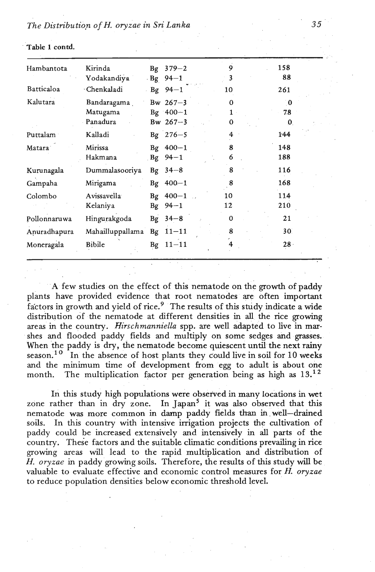| Hambantota   | Kirinda<br>Yodakandiya              |    | Bg $379 - 2$<br>$-Bg$ 94-1                         | 9<br>3                     | 158<br>88                          |
|--------------|-------------------------------------|----|----------------------------------------------------|----------------------------|------------------------------------|
| Batticaloa   | · Chenkaladi                        |    | $-Bg \t 94-1$                                      | 10                         | 261                                |
| Kalutara     | Bandaragama<br>Matugama<br>Panadura |    | Bw $267 - 3$<br>$Bg \quad 400 - 1$<br>Bw $267 - 3$ | $\Omega$<br>1.<br>0        | $\mathbf{0}$<br>78<br>$\mathbf{0}$ |
| Puttalam     | Kalladi                             |    | Bg $276 - 5$                                       | 4                          | 1.44                               |
| Matara       | Mirissa<br>Hakmana                  | Bg | $Bg \ 400 - 1$<br>$94 - 1$                         | 8<br>6                     | 148<br>188                         |
| Kurunagala   | Dummalasooriya                      | Bg | $34 - 8$                                           | 8                          | 116                                |
| Gampaha      | Mirigama                            |    | $Bg \quad 400 - 1$                                 | 8                          | 168                                |
| Colombo      | Avissavella<br>Kelaniya             | Bg | $Bg \ 400-1$<br>$94 - 1$                           | 10<br>$\mathbb{R}^2$<br>12 | 114<br>210                         |
| Pollonnaruwa | Hingurakgoda                        |    | $Bg \quad 34-8$                                    | 0                          | 21                                 |
| Anuradhapura | Mahailluppallama                    |    | $Bg$ $11-11$                                       | 8                          | 30 <sup>°</sup>                    |
| Moneragala   | Bibile                              |    | $Bg$ $11-11$                                       | 4                          | $28 -$                             |

**Table 1 contd.** 

A few studies on the effect of this nematode on the growth of paddy plants have provided evidence that root nematodes are often important factors in growth and yield of rice.9 The results of **this** study indicate a wide distribution of the nematode at different densities in all the **rice** growing areas in the country. *Hirschmanniella* spp. are well adapted to live in marshes and flooded paddy fields and multiply on some sedges and grasses. When the paddy is dry, the nematode become quiescent until the next rainy season.<sup>10</sup> In the absence of host plants they could live in soil for 10 weeks and the minimum time of development fiom egg to adult is about one month. The multiplication factor per generation being as high as **13.12** 

In this study high populations were observed in many locations in wet zone rather than in dry zone. In Japan<sup>5</sup> it was also observed that this nematode was more common in damp paddy fields than in well-drained soils. In this country with intensive irrigation projects the cultivation of In this country with intensive irrigation projects the cultivation of paddy could be increased extensively and intensively in all parts of the country. These factors and the suitable climatic conditions prevailing in rice growing areas will lead to the rapid multiplication and distribution of H. *oryzae* in paddy growing soils. Therefore, the results of this study will be valuable to evaluate effective and economic control measures for **R** *oryzae*  to reduce population densities below economic threshold level.